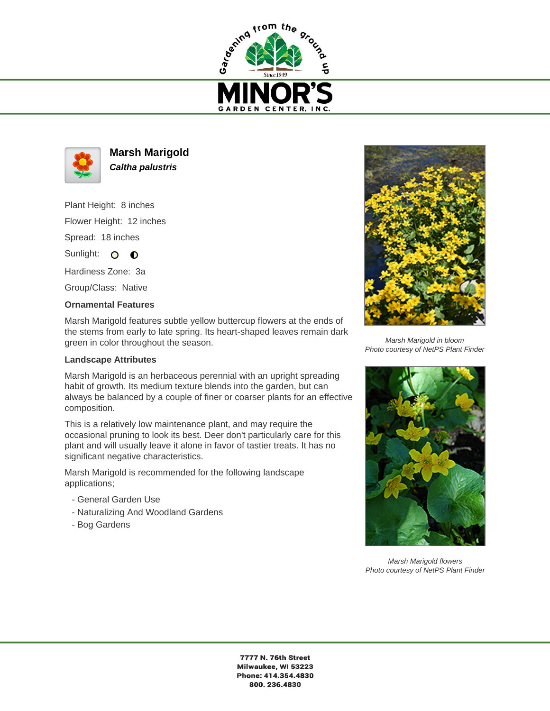



**Marsh Marigold Caltha palustris**

Plant Height: 8 inches Flower Height: 12 inches Spread: 18 inches

Sunlight: O **O** 

Hardiness Zone: 3a

Group/Class: Native

## **Ornamental Features**

Marsh Marigold features subtle yellow buttercup flowers at the ends of the stems from early to late spring. Its heart-shaped leaves remain dark green in color throughout the season.

## **Landscape Attributes**

Marsh Marigold is an herbaceous perennial with an upright spreading habit of growth. Its medium texture blends into the garden, but can always be balanced by a couple of finer or coarser plants for an effective composition.

This is a relatively low maintenance plant, and may require the occasional pruning to look its best. Deer don't particularly care for this plant and will usually leave it alone in favor of tastier treats. It has no significant negative characteristics.

Marsh Marigold is recommended for the following landscape applications;

- General Garden Use
- Naturalizing And Woodland Gardens
- Bog Gardens



Marsh Marigold in bloom Photo courtesy of NetPS Plant Finder



Marsh Marigold flowers Photo courtesy of NetPS Plant Finder

7777 N. 76th Street Milwaukee, WI 53223 Phone: 414.354.4830 800.236.4830